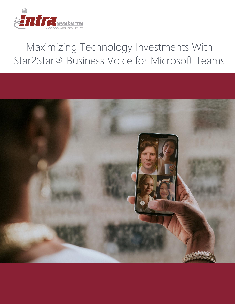

# Maximizing Technology Investments With Star2Star® Business Voice for Microsoft Teams

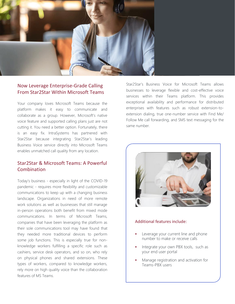

### Now Leverage Enterprise-Grade Calling From Star2Star Within Microsoft Teams

Your company loves Microsoft Teams because the platform makes it easy to communicate and collaborate as a group. However, Microsoft's native voice feature and supported calling plans just are not cutting it. You need a better option. Fortunately, there is an easy fix. IntraSystems has partnered with Star2Star because integrating Star2Star's leading Business Voice service directly into Microsoft Teams enables unmatched call quality from any location.

## Star2Star & Microsoft Teams: A Powerful **Combination**

Today's business - especially in light of the COVID-19 pandemic - requires more flexibility and customizable communications to keep up with a changing business landscape. Organizations in need of more remote work solutions as well as businesses that still manage in-person operations both benefit from mixed mode communications. In terms of Microsoft Teams, companies that have been leveraging the platform as their sole communications tool may have found that they needed more traditional devices to perform some job functions. This is especially true for nonknowledge workers fulfilling a specific role such as cashiers, service desk operators, and so on, who rely on physical phones and shared extensions. These types of workers, compared to knowledge workers, rely more on high quality voice than the collaboration features of MS Teams.

Star2Star's Business Voice for Microsoft Teams allows businesses to leverage flexible and cost-effective voice services within their Teams platform. This provides exceptional availability and performance for distributed enterprises with features such as robust extension-toextension dialing, true one-number service with Find Me/ Follow Me call forwarding, and SMS text messaging for the same number.



#### Additional features include:

- Leverage your current line and phone number to make or receive calls
- Integrate your own PBX tools, such as your end user portal
- Manage registration and activation for Teams-PBX users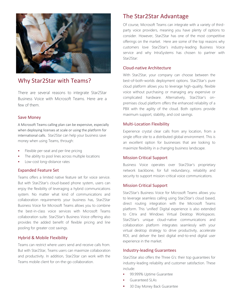

# Why Star2Star with Teams?

There are several reasons to integrate Star2Star Business Voice with Microsoft Teams. Here are a few of them.

#### Save Money

A Microsoft Teams calling plan can be expensive, especially when deploying licenses at scale or using the platform for international calls. Star2Star can help your business save money when using Teams, through:

- Flexible per-seat and per-line pricing
- The ability to pool lines across multiple locations
- Low-cost long-distance rates

#### Expanded Feature Set

Teams offers a limited native feature set for voice service. But with Star2Star's cloud-based phone system, users can enjoy the flexibility of leveraging a hybrid communications system. No matter what kind of communications and collaboration requirements your business has, Star2Star Business Voice for Microsoft Teams allows you to combine the best-in-class voice services with Microsoft Teams collaboration suite. Star2Star's Business Voice offering also provides the added benefit of flexible pricing and line pooling for greater cost savings.

#### Hybrid & Mobile Flexibility

Teams can restrict where users send and receive calls from. But with Star2Star, Teams users can maximize collaboration and productivity. In addition, Star2Star can work with the Teams mobile client for on-the-go collaboration.

# The Star2Star Advantage

Of course, Microsoft Teams can integrate with a variety of thirdparty voice providers, meaning you have plenty of options to consider. However, Star2Star has one of the most competitive offerings on the market. Here are some of the top reasons why customers love Star2Star's industry-leading Business Voice service and why IntraSystems has chosen to partner with Star2Star:

#### Cloud-native Architecture

With Star2Star, your company can choose between the best-of-both-worlds deployment options. Star2Star's pure cloud platform allows you to leverage high-quality, flexible voice without purchasing or managing any expensive or complicated hardware. Alternatively, Star2Star's onpremises cloud platform offers the enhanced reliability of a PBX with the agility of the cloud. Both options provide maximum support, stability, and cost savings.

#### Multi-Location Flexibility

Experience crystal clear calls from any location, from a single office site to a distributed global environment. This is an excellent option for businesses that are looking to maximize flexibility in a changing business landscape.

#### Mission Critical Support

Business Voice operates over Star2Star's proprietary network backbone, for full redundancy, reliability and security to support mission-critical voice communications.

#### Mission Critical Support

Star2Star's Business Voice for Microsoft Teams allows you to leverage seamless calling using Star2Star's cloud based, direct routing integration with the Microsoft Teams platform. This 'unified' Digital experience is also extended to Citrix and Windows Virtual Desktop Workspaces. Star2Star's unique cloud-native communications and collaboration platform integrates seamlessly with your virtual desktop strategy to drive productivity, accelerate ROI, and deliver the best digital end-to-end digital user experience in the market.

#### Industry-leading Guarantees

Star2Star also offers the Three G's: their top guarantees for industry-leading reliability and customer satisfaction. These include:

- **•** 99.999% Uptime Guarantee
- **■** Guaranteed SLAs
- 30 Day Money Back Guarantee